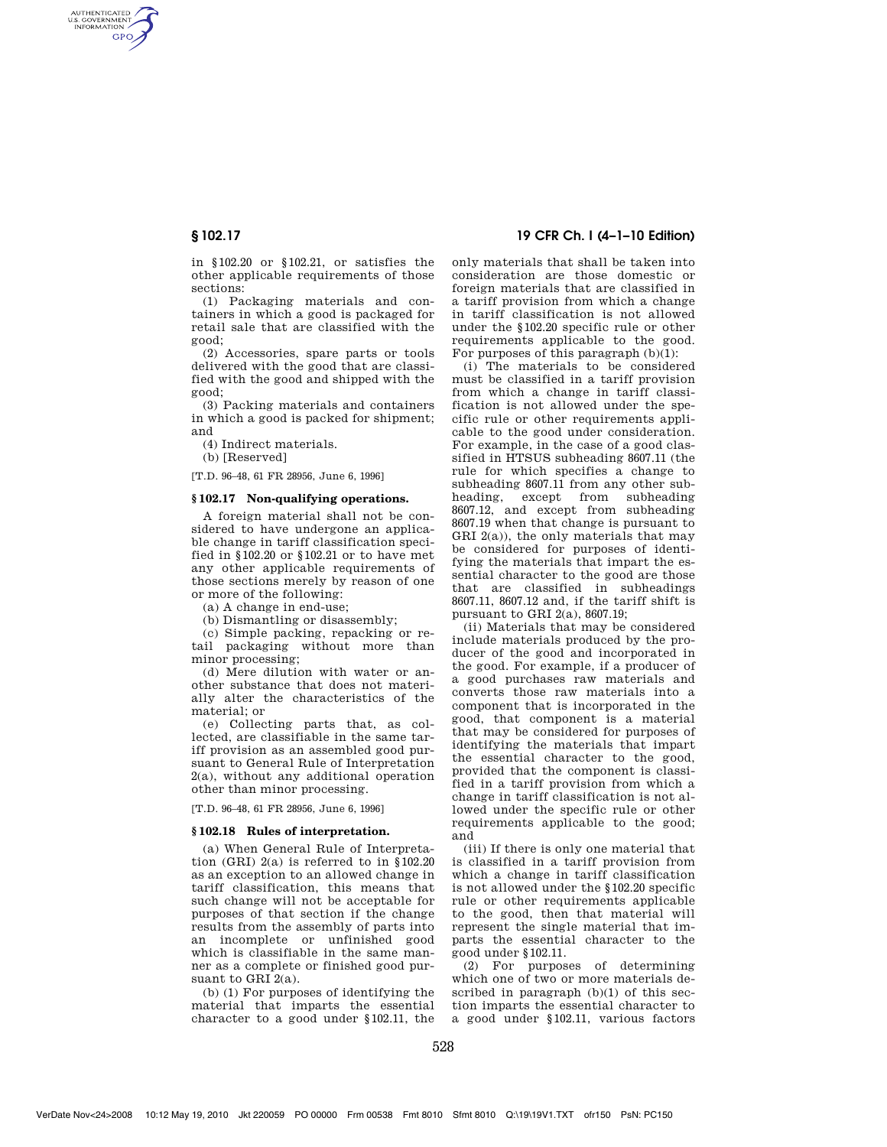AUTHENTICATED<br>U.S. GOVERNMENT<br>INFORMATION **GPO** 

> in §102.20 or §102.21, or satisfies the other applicable requirements of those sections:

> (1) Packaging materials and containers in which a good is packaged for retail sale that are classified with the good;

> (2) Accessories, spare parts or tools delivered with the good that are classified with the good and shipped with the good;

> (3) Packing materials and containers in which a good is packed for shipment; and

(4) Indirect materials.

(b) [Reserved]

[T.D. 96–48, 61 FR 28956, June 6, 1996]

## **§ 102.17 Non-qualifying operations.**

A foreign material shall not be considered to have undergone an applicable change in tariff classification specified in §102.20 or §102.21 or to have met any other applicable requirements of those sections merely by reason of one or more of the following:

(a) A change in end-use;

(b) Dismantling or disassembly;

(c) Simple packing, repacking or retail packaging without more than minor processing;

(d) Mere dilution with water or another substance that does not materially alter the characteristics of the material; or

(e) Collecting parts that, as collected, are classifiable in the same tariff provision as an assembled good pursuant to General Rule of Interpretation 2(a), without any additional operation other than minor processing.

[T.D. 96–48, 61 FR 28956, June 6, 1996]

#### **§ 102.18 Rules of interpretation.**

(a) When General Rule of Interpretation (GRI) 2(a) is referred to in §102.20 as an exception to an allowed change in tariff classification, this means that such change will not be acceptable for purposes of that section if the change results from the assembly of parts into an incomplete or unfinished good which is classifiable in the same manner as a complete or finished good pursuant to GRI 2(a).

(b) (1) For purposes of identifying the material that imparts the essential character to a good under §102.11, the

# **§ 102.17 19 CFR Ch. I (4–1–10 Edition)**

only materials that shall be taken into consideration are those domestic or foreign materials that are classified in a tariff provision from which a change in tariff classification is not allowed under the §102.20 specific rule or other requirements applicable to the good. For purposes of this paragraph  $(b)(1)$ :

(i) The materials to be considered must be classified in a tariff provision from which a change in tariff classification is not allowed under the specific rule or other requirements applicable to the good under consideration. For example, in the case of a good classified in HTSUS subheading 8607.11 (the rule for which specifies a change to subheading 8607.11 from any other subheading, except from subheading 8607.12, and except from subheading 8607.19 when that change is pursuant to GRI 2(a)), the only materials that may be considered for purposes of identifying the materials that impart the essential character to the good are those that are classified in subheadings 8607.11, 8607.12 and, if the tariff shift is pursuant to GRI 2(a), 8607.19;

(ii) Materials that may be considered include materials produced by the producer of the good and incorporated in the good. For example, if a producer of a good purchases raw materials and converts those raw materials into a component that is incorporated in the good, that component is a material that may be considered for purposes of identifying the materials that impart the essential character to the good, provided that the component is classified in a tariff provision from which a change in tariff classification is not allowed under the specific rule or other requirements applicable to the good; and

(iii) If there is only one material that is classified in a tariff provision from which a change in tariff classification is not allowed under the §102.20 specific rule or other requirements applicable to the good, then that material will represent the single material that imparts the essential character to the good under §102.11.

(2) For purposes of determining which one of two or more materials described in paragraph (b)(1) of this section imparts the essential character to a good under §102.11, various factors